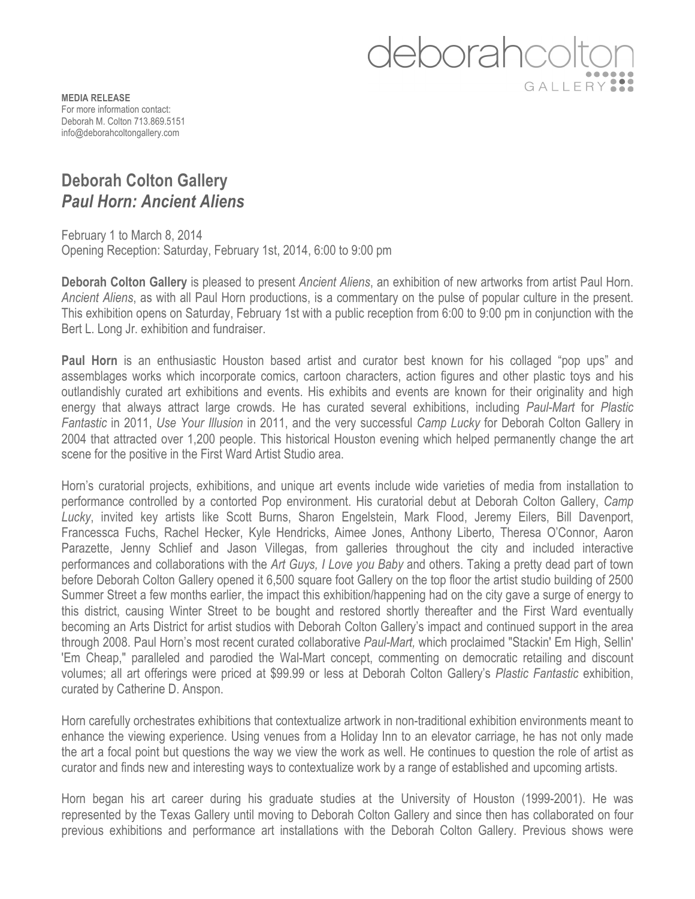

**MEDIA RELEASE** For more information contact: Deborah M. Colton 713.869.5151 info@deborahcoltongallery.com

## **Deborah Colton Gallery**  *Paul Horn: Ancient Aliens*

February 1 to March 8, 2014 Opening Reception: Saturday, February 1st, 2014, 6:00 to 9:00 pm

**Deborah Colton Gallery** is pleased to present *Ancient Aliens*, an exhibition of new artworks from artist Paul Horn. *Ancient Aliens*, as with all Paul Horn productions, is a commentary on the pulse of popular culture in the present. This exhibition opens on Saturday, February 1st with a public reception from 6:00 to 9:00 pm in conjunction with the Bert L. Long Jr. exhibition and fundraiser.

**Paul Horn** is an enthusiastic Houston based artist and curator best known for his collaged "pop ups" and assemblages works which incorporate comics, cartoon characters, action figures and other plastic toys and his outlandishly curated art exhibitions and events. His exhibits and events are known for their originality and high energy that always attract large crowds. He has curated several exhibitions, including *Paul-Mart* for *Plastic Fantastic* in 2011, *Use Your Illusion* in 2011, and the very successful *Camp Lucky* for Deborah Colton Gallery in 2004 that attracted over 1,200 people. This historical Houston evening which helped permanently change the art scene for the positive in the First Ward Artist Studio area.

Horn's curatorial projects, exhibitions, and unique art events include wide varieties of media from installation to performance controlled by a contorted Pop environment. His curatorial debut at Deborah Colton Gallery, *Camp Lucky*, invited key artists like Scott Burns, Sharon Engelstein, Mark Flood, Jeremy Eilers, Bill Davenport, Francessca Fuchs, Rachel Hecker, Kyle Hendricks, Aimee Jones, Anthony Liberto, Theresa O'Connor, Aaron Parazette, Jenny Schlief and Jason Villegas, from galleries throughout the city and included interactive performances and collaborations with the *Art Guys, I Love you Baby* and others. Taking a pretty dead part of town before Deborah Colton Gallery opened it 6,500 square foot Gallery on the top floor the artist studio building of 2500 Summer Street a few months earlier, the impact this exhibition/happening had on the city gave a surge of energy to this district, causing Winter Street to be bought and restored shortly thereafter and the First Ward eventually becoming an Arts District for artist studios with Deborah Colton Gallery's impact and continued support in the area through 2008. Paul Horn's most recent curated collaborative *Paul-Mart,* which proclaimed "Stackin' Em High, Sellin' 'Em Cheap," paralleled and parodied the Wal-Mart concept, commenting on democratic retailing and discount volumes; all art offerings were priced at \$99.99 or less at Deborah Colton Gallery's *Plastic Fantastic* exhibition, curated by Catherine D. Anspon.

Horn carefully orchestrates exhibitions that contextualize artwork in non-traditional exhibition environments meant to enhance the viewing experience. Using venues from a Holiday Inn to an elevator carriage, he has not only made the art a focal point but questions the way we view the work as well. He continues to question the role of artist as curator and finds new and interesting ways to contextualize work by a range of established and upcoming artists.

Horn began his art career during his graduate studies at the University of Houston (1999-2001). He was represented by the Texas Gallery until moving to Deborah Colton Gallery and since then has collaborated on four previous exhibitions and performance art installations with the Deborah Colton Gallery. Previous shows were